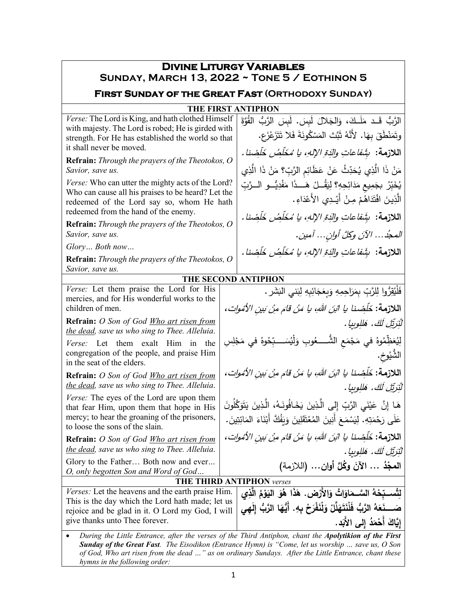| <b>DIVINE LITURGY VARIABLES</b><br>SUNDAY, MARCH 13, 2022 ~ TONE 5 / EOTHINON 5                                                                                                                                    |                                                                                           |                                                                                                                                                                                                            |  |  |  |
|--------------------------------------------------------------------------------------------------------------------------------------------------------------------------------------------------------------------|-------------------------------------------------------------------------------------------|------------------------------------------------------------------------------------------------------------------------------------------------------------------------------------------------------------|--|--|--|
| <b>FIRST SUNDAY OF THE GREAT FAST (ORTHODOXY SUNDAY)</b>                                                                                                                                                           |                                                                                           |                                                                                                                                                                                                            |  |  |  |
|                                                                                                                                                                                                                    |                                                                                           | <b>THE FIRST ANTIPHON</b>                                                                                                                                                                                  |  |  |  |
| Verse: The Lord is King, and hath clothed Himself<br>with majesty. The Lord is robed; He is girded with<br>strength. For He has established the world so that<br>it shall never be moved.                          |                                                                                           | الرَّبُّ قَـد مَلَـكَ، وَالجَلالَ لَبِسَ. لَبِسَ الرَّبُّ القُوَّةَ<br>وتَمَنْطَقَ بِهَا. لأَنَّهُ ثَبَّتَ المَسْكُونَةَ فَلا تَتَزَعْزَع.<br>اللازمة: بِشَفاعاتِ والدَةِ الإلهِ، يا مُخَلِّصُ خَلِّصْنا . |  |  |  |
| <b>Refrain:</b> Through the prayers of the Theotokos, O<br>Savior, save us.                                                                                                                                        |                                                                                           | مَنْ ذَا الَّذِي يُحَدِّثُ عَنْ عَظَائِمِ الرَّبِّ؟ مَنْ ذَا الَّذِي                                                                                                                                       |  |  |  |
| Verse: Who can utter the mighty acts of the Lord?<br>Who can cause all his praises to be heard? Let the<br>redeemed of the Lord say so, whom He hath<br>redeemed from the hand of the enemy.                       |                                                                                           | يُخَبِّرُ بجَمِيعٍ مَدَائِحِهِ؟ لِيَقُــلْ هَـــذَا مَفْدِيُّــو الـــرَّبِّ<br>الَّذِينَ افْتَذَاهُمْ مِنْ أَيْـدِي الأَعْذَاءِ .                                                                         |  |  |  |
| Refrain: Through the prayers of the Theotokos, O<br>Savior, save us.                                                                                                                                               |                                                                                           | اللازمة: ۚ شَِفاعاتِ والَّذِةِ الإلهِ، يا مُخَلِّصُ خَلْضِنا .<br>المجدُ الآنَ وكِّلَّ أُولِنْ آمين.                                                                                                       |  |  |  |
| Glory Both now                                                                                                                                                                                                     |                                                                                           |                                                                                                                                                                                                            |  |  |  |
| Refrain: Through the prayers of the Theotokos, O<br>Savior, save us.                                                                                                                                               |                                                                                           | اللازمة: بثَنفاعاتِ والدَةِ الإلهِ، يا مُخَلِّصُ خَلِّصْنا .                                                                                                                                               |  |  |  |
|                                                                                                                                                                                                                    |                                                                                           | THE SECOND ANTIPHON                                                                                                                                                                                        |  |  |  |
| Verse: Let them praise the Lord for His<br>mercies, and for His wonderful works to the<br>children of men.                                                                                                         |                                                                                           | فَلْيُقِرُّوا لِلرَّبِّ بِمَرَاحِمِهِ وَبِعَجَائِبِهِ لِبَني النَشَرِ .<br>ا <b>للازمة:</b> خَلَصْنا يا اثبَن اللهِ، يا مَنْ قامَ مِنْ بَينِ الأَمُوات،                                                    |  |  |  |
| Refrain: O Son of God Who art risen from                                                                                                                                                                           |                                                                                           | لْيُرَيِّلُ لَكَ. هَلِلُوبِيا .                                                                                                                                                                            |  |  |  |
| the dead, save us who sing to Thee. Alleluia.                                                                                                                                                                      |                                                                                           |                                                                                                                                                                                                            |  |  |  |
| Verse: Let them exalt Him in<br>the<br>congregation of the people, and praise Him<br>in the seat of the elders.                                                                                                    | لِيُعَظِّمُوهُ في مَجْمَعِ الشُّـــــعُوبِ وَلْيُسَــــبِّحُوهُ في مَجْلِسِ<br>الشَّيُوخ. |                                                                                                                                                                                                            |  |  |  |
| Refrain: O Son of God Who art risen from<br>the dead, save us who sing to Thee. Alleluia.                                                                                                                          |                                                                                           | ا <b>للازمة:</b> خَلَصْنا يا البَنَ اللهِ، يا مَنْ قامَ منْ بَين الأمُوات،<br>لْنَرَيِّلَ لَكَ. هَللِوبِيا .                                                                                               |  |  |  |
| <i>Verse:</i> The eyes of the Lord are upon them<br>that fear Him, upon them that hope in His<br>mercy; to hear the groaning of the prisoners,                                                                     |                                                                                           | هَا إِنَّ عَيْنَيِ الرَّبِّ إِلَى الَّذِينَ يَخَافُونَـهُ، الَّذِينَ يَتَوَكَّلُونَ                                                                                                                        |  |  |  |
| to loose the sons of the slain.                                                                                                                                                                                    |                                                                                           | عَلَى رَحْمَتِهِ. لِيَسْمَعَ أَنِينَ الْمُعْتَقَلِينَ وَبَفُكَّ أَبْنَاءَ الْمَائِتِينَ.                                                                                                                   |  |  |  |
| <b>Refrain:</b> O Son of God Who art risen from<br>the dead, save us who sing to Thee. Alleluia.                                                                                                                   |                                                                                           | اللازمة: خَلَصْنا يا ابْنَ اللهِ، يا مَنْ قامَ مِنْ بَينِ الأَمْواتِ،<br>لْنُرَيِّلِ لَكَ. هَللوبيا .                                                                                                      |  |  |  |
| Glory to the Father Both now and ever<br>O, only begotten Son and Word of God                                                                                                                                      |                                                                                           | المجْدُ  الآنَ وكُلَّ أوان (اللازمة)                                                                                                                                                                       |  |  |  |
| <b>THE THIRD ANTIPHON verses</b>                                                                                                                                                                                   |                                                                                           |                                                                                                                                                                                                            |  |  |  |
| <i>Verses:</i> Let the heavens and the earth praise Him.                                                                                                                                                           |                                                                                           | لِتُســبّحْهُ السَّــمَاوَاتُ وَالأَرْضِ. هَذَا هُوَ النِّوْمُ الَّذِى                                                                                                                                     |  |  |  |
| This is the day which the Lord hath made; let us<br>rejoice and be glad in it. O Lord my God, I will                                                                                                               |                                                                                           | صَــــذَعَهُ الرَّبُّ فَلْنَتَهَلَّلْ وَلْنَفْرَحْ بِهِ. أَيُّهَا الرَّبُّ إِلَهِي                                                                                                                         |  |  |  |
| give thanks unto Thee forever.                                                                                                                                                                                     |                                                                                           | إِيَّاكَ أَحْمَدُ إِلى الأَبَد.                                                                                                                                                                            |  |  |  |
| During the Little Entrance, after the verses of the Third Antiphon, chant the Apolytikion of the First<br><b>Sunday of the Great Fast</b> . The Eisodikon (Entrance Hymn) is "Come, let us worship  save us, O Son |                                                                                           |                                                                                                                                                                                                            |  |  |  |

*of God, Who art risen from the dead …" as on ordinary Sundays. After the Little Entrance, chant these hymns in the following order:*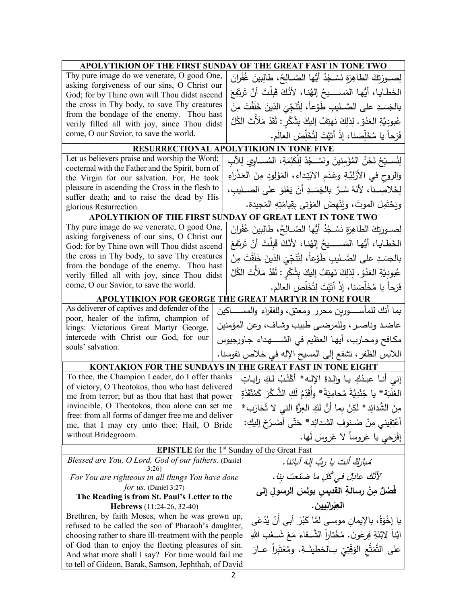| APOLYTIKION OF THE FIRST SUNDAY OF THE GREAT FAST IN TONE TWO                                                                              |  |                                                                                 |  |  |  |
|--------------------------------------------------------------------------------------------------------------------------------------------|--|---------------------------------------------------------------------------------|--|--|--|
| Thy pure image do we venerate, O good One,<br>asking forgiveness of our sins, O Christ our<br>God; for by Thine own will Thou didst ascend |  | لِصــورَتِكَ الطاهِرَةِ نَسْـجُدُ أَيُّها الصّــالِحُ، طالِبينَ غُفْرانَ        |  |  |  |
|                                                                                                                                            |  | الخَطايا، أَيُّها المَســــيحُ إلهُنا، لأَنَّكَ قَبِلْتَ أَنْ تَرتَفِعَ         |  |  |  |
| the cross in Thy body, to save Thy creatures                                                                                               |  | بالجَسَدِ على الصَّـليبِ طَوْعاً، لِتُنَجِّيَ الذينَ خَلَقْتَ مِنْ              |  |  |  |
| from the bondage of the enemy. Thou hast<br>verily filled all with joy, since Thou didst                                                   |  | عُبودِيَّةِ العَدُقِ. لِذلِكَ نَهتِفُ إِليكَ بِشُكْرِ : لَقَدْ مَلَأَتَ الكُلَّ |  |  |  |
| come, O our Savior, to save the world.                                                                                                     |  | فَرَحاً يا مُخَلِّصَنا، إذْ أَتَيْتَ لِتُخَلِّصَ العالَم.                       |  |  |  |
|                                                                                                                                            |  | <b>RESURRECTIONAL APOLYTIKION IN TONE FIVE</b>                                  |  |  |  |
| Let us believers praise and worship the Word;                                                                                              |  | لِنُسـبّحْ نَحْنُ المُؤْمِنينَ ونَسْـجُدْ لِلْكَلِمَةِ، المُســاوي لِلآبِ       |  |  |  |
| coeternal with the Father and the Spirit, born of                                                                                          |  |                                                                                 |  |  |  |
| the Virgin for our salvation. For, He took                                                                                                 |  | والروح في الأَزَلِيَّةِ وعَدَم الابْتِداء، المَوْلودِ مِنَ العَذْراءِ           |  |  |  |
| pleasure in ascending the Cross in the flesh to<br>suffer death; and to raise the dead by His                                              |  | لِخَلاصِـنا، لأنَهُ سُـرٌ بالجَسَـدِ أنْ يَعْلوَ على الصـليبِ،                  |  |  |  |
| glorious Resurrection.                                                                                                                     |  | ويَحْتَمِلَ الموتَ، ويُنْهضَ المَوْتي بقِيامَتِهِ المَجيدة.                     |  |  |  |
|                                                                                                                                            |  | APOLYTIKION OF THE FIRST SUNDAY OF GREAT LENT IN TONE TWO                       |  |  |  |
| Thy pure image do we venerate, O good One,                                                                                                 |  | لِصــورَتكَ الطاهِرَةِ نَسْـجُدُ أَيُّها الصّــالِحُ، طالِبينَ غُفْرانَ         |  |  |  |
| asking forgiveness of our sins, O Christ our<br>God; for by Thine own will Thou didst ascend                                               |  | الخَطايا، أَيُّها المَســــيحُ إِلهُنا، لأَنَّكَ قَبِلْتَ أَنْ تَرتَفِعَ        |  |  |  |
| the cross in Thy body, to save Thy creatures                                                                                               |  | بالجَسَدِ على الصَّـليبِ طَوْعاً، لِتُنَجِّيَ الذينَ خَلَقْتَ مِنْ              |  |  |  |
| from the bondage of the enemy. Thou hast                                                                                                   |  |                                                                                 |  |  |  |
| verily filled all with joy, since Thou didst<br>come, O our Savior, to save the world.                                                     |  | عُبودِيَّةِ العَدُقِ. لِذلِكَ نَهتِفُ إليكَ بِشُكْرٍ : لَقَدْ مَلَأْتَ الكُلَّ  |  |  |  |
|                                                                                                                                            |  | فَرَحاً يا مُخَلِّصَنا، إذْ أَتَيْتَ لِتُخَلِّصَ العالَم.                       |  |  |  |
|                                                                                                                                            |  | APOLYTIKION FOR GEORGE THE GREAT MARTYR IN TONE FOUR                            |  |  |  |
| As deliverer of captives and defender of the<br>poor, healer of the infirm, champion of                                                    |  | بما أنك للمأســــورين محرر ومعتق، وللفقراء والمســـــاكين                       |  |  |  |
| kings: Victorious Great Martyr George,                                                                                                     |  | عاضد وناصر ، وللمرضىي طبيب وشاف، وعن المؤمنين                                   |  |  |  |
| intercede with Christ our God, for our<br>souls' salvation.                                                                                |  | مكافح ومحارب، أيها العظيم في الشـــــهداء جاورجيوس                              |  |  |  |
|                                                                                                                                            |  | اللابس الظفر ، تشفع إلى المسيح الإله في خلاص نفوسنا.                            |  |  |  |
| KONTAKION FOR THE SUNDAYS IN THE GREAT FAST IN TONE EIGHT                                                                                  |  |                                                                                 |  |  |  |
| To thee, the Champion Leader, do I offer thanks                                                                                            |  | إني أنـا عبدُكِ يـا والِدَةَ الإِلـه* أَكْتُبُ لـكِ رايـاتِ                     |  |  |  |
| of victory, O Theotokos, thou who hast delivered                                                                                           |  | الغَلَبَة * يا جُنْدِيَّةً مُحامِيَةً * وأَقَدِّمُ لَكِ الشُّـكْرَ كَمُنْقَذَةٍ |  |  |  |
| me from terror; but as thou that hast that power<br>invincible, O Theotokos, thou alone can set me                                         |  |                                                                                 |  |  |  |
| free: from all forms of danger free me and deliver                                                                                         |  | مِنَ الشَّدائِدِ * لَكِنْ بما أَنَّ لَكِ الْعِزَّةَ الَّتِي لا تُحَارَبِ *      |  |  |  |
| me, that I may cry unto thee: Hail, O Bride                                                                                                |  | أَعْتِقِيني مِنْ صُنوفِ الشدائِدِ * حَتَّى أَصْرُخَ إِلَيكِ:                    |  |  |  |
| without Bridegroom.                                                                                                                        |  | إفْرَحي يا عَروساً لا عَروسَ لَها.                                              |  |  |  |
|                                                                                                                                            |  | <b>EPISTLE</b> for the 1 <sup>st</sup> Sunday of the Great Fast                 |  |  |  |
| Blessed are You, O Lord, God of our fathers. (Daniel<br>3:26                                                                               |  | مُبِارَكٌ أَنتَ يا ربُّ إِلَهَ أَبِائِنَا.                                      |  |  |  |
| For You are righteous in all things You have done                                                                                          |  | لأَنَّكَ عادلِّ في كُلِّ ما صَنَعتَ بنا.                                        |  |  |  |
| <i>for us.</i> (Daniel 3:27)                                                                                                               |  | فَصْلٌ مِنْ رسالةِ القديس بولسَ الرسولِ إلى                                     |  |  |  |
| The Reading is from St. Paul's Letter to the<br>Hebrews (11:24-26, 32-40)                                                                  |  | العبْرانيين .                                                                   |  |  |  |
| Brethren, by faith Moses, when he was grown up,                                                                                            |  | يا إِخْوَةُ، بالإيمان موسى لمَّا كَبُرَ  أَبِي أَنْ يُدْعَى                     |  |  |  |
| refused to be called the son of Pharaoh's daughter,                                                                                        |  |                                                                                 |  |  |  |
| choosing rather to share ill-treatment with the people<br>of God than to enjoy the fleeting pleasures of sin.                              |  | ابْناً لِابْنَةِ فِرِعَونَ. مُخْتاراً الشَّـقاءَ مَعَ شَــعْبِ اللهِ            |  |  |  |
| And what more shall I say? For time would fail me                                                                                          |  | على التَّمَتُّع الوَقْتِيّ بــالخطيئَــةِ. ومُعْتَبِراً عــارَ                  |  |  |  |
| to tell of Gideon, Barak, Samson, Jephthah, of David                                                                                       |  |                                                                                 |  |  |  |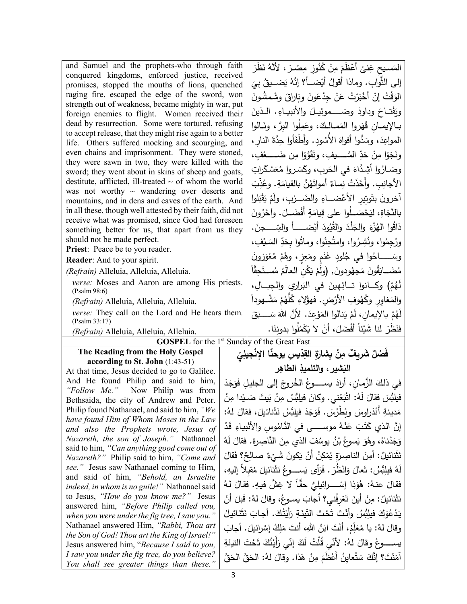| and Samuel and the prophets-who through faith                                                                  |                                                            | المَسيح غِنيً أَعْظَمَ مِنْ كُنُوزٍ مِصْـرَ ، لأنَّهُ نَظَرَ                                                                                           |
|----------------------------------------------------------------------------------------------------------------|------------------------------------------------------------|--------------------------------------------------------------------------------------------------------------------------------------------------------|
| conquered kingdoms, enforced justice, received                                                                 | إلى الثَّوابِ. وماذا أقولُ أيْضــأ؟ إنَّهُ يَضـــيقُ بِيَ  |                                                                                                                                                        |
| promises, stopped the mouths of lions, quenched<br>raging fire, escaped the edge of the sword, won             |                                                            | الوَقْتُ إِنْ أَخْبَرْتُ عَنْ جِدْعَونَ وِبَارِاقَ وشَمشُونَ                                                                                           |
| strength out of weakness, became mighty in war, put                                                            |                                                            |                                                                                                                                                        |
| foreign enemies to flight. Women received their                                                                |                                                            | وبَفْتاحَ وداودَ وصَــــموئيـلَ والأنبيــاءِ. الـذينَ                                                                                                  |
| dead by resurrection. Some were tortured, refusing                                                             |                                                            | بـالإيمــان قَهَروا المَمــالـكَ، وعَمِلُوا البِرّ ، ونَــالوا                                                                                         |
| to accept release, that they might rise again to a better<br>life. Others suffered mocking and scourging, and  |                                                            | المواعِدَ، وسَدُّوا أفواهَ الأُسُودِ. وأَطْفَأُوا حِدَّةَ النارِ ،                                                                                     |
| even chains and imprisonment. They were stoned,                                                                |                                                            | ونَجَوْا مِنْ حَدِّ السَّــــيفِ، وتَقَوَّوْا مِن ضَـــــعْفِ،                                                                                         |
| they were sawn in two, they were killed with the                                                               |                                                            |                                                                                                                                                        |
| sword; they went about in skins of sheep and goats,                                                            |                                                            | وصَــارُوا أَشِـدًّاءَ فـي الـحَربِ، وكَسَـروا مُعَسْـكَراتِ                                                                                           |
| destitute, afflicted, ill-treated $\sim$ of whom the world<br>was not worthy $\sim$ wandering over deserts and |                                                            | الأجانِبِ. وأَخَذَتْ نِساءٌ أَمواتَهُنَّ بالقيامَةِ. وعُذِّبَ                                                                                          |
| mountains, and in dens and caves of the earth. And                                                             | آخرونَ بتَوتِير الأعْضـــاءِ والضَـــرْبِ، ولَمْ يَقْبَلوا |                                                                                                                                                        |
| in all these, though well attested by their faith, did not                                                     |                                                            | بالنَّجَاةِ، ليَحْصَــلُوا على قِيامَةٍ أَفْضَــلَ. وآخَرُونَ                                                                                          |
| receive what was promised, since God had foreseen<br>something better for us, that apart from us they          |                                                            | ذاقُوا الهُزْءَ والجَلْدَ والقُيُودَ أَيْضـــــــاً والسِّـــــجنَ.                                                                                    |
| should not be made perfect.                                                                                    |                                                            | ورُجِمُوا، ونُشِرُوا، وامتُحِنُوا، وماتُوا بِحَدِّ السَـيْفِ،                                                                                          |
| Priest: Peace be to you reader.                                                                                |                                                            | وسَـــــــاخُوا فـي جُلودِ غَنَم ومَعِزٍ، وهُمْ مُعْوَزُونَ                                                                                            |
| Reader: And to your spirit.<br>(Refrain) Alleluia, Alleluia, Alleluia.                                         |                                                            | مُضَـــايَقُونَ مَجهُودونَ, (ولَمْ يَكُنِ العالَمُ مُســتَحِقّاً                                                                                       |
| verse: Moses and Aaron are among His priests.                                                                  |                                                            |                                                                                                                                                        |
| (Psalm 98:6)                                                                                                   |                                                            | لَهُمْ) وكــانوا تــائِهِينَ في النَزاري والجِبــالِ،                                                                                                  |
| (Refrain) Alleluia, Alleluia, Alleluia.                                                                        |                                                            | والمَغاور وكُهُوفِ الأرْض. فهؤُلاءِ كُلُّهُمْ مَشْــهوداً                                                                                              |
| verse: They call on the Lord and He hears them.                                                                |                                                            |                                                                                                                                                        |
|                                                                                                                |                                                            | لَهُمْ بِالإِيمانِ، لَمْ يَنالوا المَوْعِدَ. لأَنَّ اللهَ سَــــبَقَ                                                                                   |
| (Psalm 33:17)                                                                                                  |                                                            | فنَظَرَ لنا شَيْئاً أَفْضَلَ، أنْ لا يَكْمُلُوا بدونِنَا.                                                                                              |
| (Refrain) Alleluia, Alleluia, Alleluia.                                                                        |                                                            | <b>GOSPEL</b> for the 1 <sup>st</sup> Sunday of the Great Fast                                                                                         |
| The Reading from the Holy Gospel                                                                               |                                                            |                                                                                                                                                        |
| according to St. John (1:43-51)                                                                                |                                                            | فْصْلٌ شَرِيفٌ مِنْ بِشَارَةِ القِدِّيسِ يوحنَّا الإِنْجِيلِيِّ                                                                                        |
| At that time, Jesus decided to go to Galilee.                                                                  |                                                            | البَشير ، والتلميذِ الطاهِرِ                                                                                                                           |
| And He found Philip and said to him,<br>"Follow Me." Now Philip was from                                       |                                                            | في ذلكَ الزَّمانِ، أَرادَ يســـــوعُ الخُروجَ إلى الجليلِ فَوَجَدَ                                                                                     |
| Bethsaida, the city of Andrew and Peter.                                                                       |                                                            | فيلبُّسَ فقالَ لَهُ: اتْبَعْني. وكانَ فيلِبُّسُ مِنْ بَيتَ صَـيْدا مِنْ                                                                                |
| Philip found Nathanael, and said to him, "We                                                                   |                                                            | مَدينةِ أَنْدَراوِسَ وبُطْرُسَ. فَوَجَدَ فيلِبُسُ نَثَنائيلَ، فقالَ لهُ:                                                                               |
| have found Him of Whom Moses in the Law                                                                        |                                                            | إِنَّ الذي كَتَبَ عَنْهُ موســــى في النَّامُوس والأَنْبِياءِ قَدْ                                                                                     |
| and also the Prophets wrote, Jesus of<br>Nazareth, the son of Joseph." Nathanael                               |                                                            |                                                                                                                                                        |
| said to him, "Can anything good come out of                                                                    |                                                            | وَجَدْناهُ، وهُوَ يَسوعُ بْنُ يوسُفَ الذي مِنَ النَّاصِرةِ. فقالَ لَهُ                                                                                 |
| Nazareth?" Philip said to him, "Come and                                                                       |                                                            | نَثَنائيلُ: أَمِنَ الناصِرَةِ يُمْكِنُ أَنْ يَكونَ شَيْءٌ صـالِحٌ؟ فَقالَ                                                                              |
| see." Jesus saw Nathanael coming to Him,                                                                       |                                                            | لَهُ فيلِبُّسُ: تَعالَ وَانْظُرْ . فَرَأَى يَســــوعُ نَثَنَائيلَ مُقبلاً إليهِ،                                                                       |
| and said of him, "Behold, an Israelite<br>indeed, in whom is no guile!" Nathanael said                         |                                                            | فقالَ عنهُ: هُوَذا إِسْــــرائيلـِيُّ حقًّا لا غِشَّ فيهِ. فقالَ لـهُ                                                                                  |
| to Jesus, "How do you know me?" Jesus                                                                          |                                                            |                                                                                                                                                        |
| answered him, "Before Philip called you,                                                                       |                                                            | نَثَنَائيلُ: مِنْ أَينَ تَعْرِفُني؟ أَجابَ يسوعُ، وقالَ لهُ: قَبلَ أَنْ                                                                                |
| when you were under the fig tree, I saw you."<br>Nathanael answered Him, "Rabbi, Thou art                      |                                                            | يَدْعُوَكَ فيلِبُّسُ وأَنْتَ تَحْتَ التَّينَةِ رَأَيْتُكَ. أَجابَ نَثَنَائيلُ                                                                          |
| the Son of God! Thou art the King of Israel!"                                                                  |                                                            | وقالَ لهُ: يا مُعَلِّمُ، أَنْتَ ابْنُ اللهِ، أنتَ مَلِكُ إِسْرائيلَ. أجابَ                                                                             |
| Jesus answered him, "Because I said to you,<br>I saw you under the fig tree, do you believe?                   |                                                            | يســــــوعُ وقالَ لهُ: لأنّي قُلْتُ لَكَ إِنّي رَأَيْتُكَ تَحْتَ النّينَةِ<br>آمَنْتَ؟ إنَّكَ سَتُعاينُ أَعْظَمَ مِنْ هَذا. وقالَ لهُ: الحَقَّ الحَقَّ |